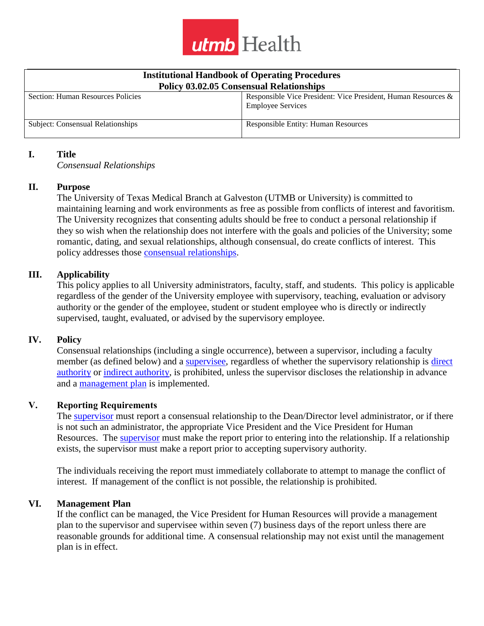

| <b>Institutional Handbook of Operating Procedures</b><br><b>Policy 03.02.05 Consensual Relationships</b> |                                                                                           |
|----------------------------------------------------------------------------------------------------------|-------------------------------------------------------------------------------------------|
| Section: Human Resources Policies                                                                        | Responsible Vice President: Vice President, Human Resources &<br><b>Employee Services</b> |
| Subject: Consensual Relationships                                                                        | <b>Responsible Entity: Human Resources</b>                                                |

#### **I. Title**

*Consensual Relationships*

## **II. Purpose**

The University of Texas Medical Branch at Galveston (UTMB or University) is committed to maintaining learning and work environments as free as possible from conflicts of interest and favoritism. The University recognizes that consenting adults should be free to conduct a personal relationship if they so wish when the relationship does not interfere with the goals and policies of the University; some romantic, dating, and sexual relationships, although consensual, do create conflicts of interest. This policy addresses those [consensual relationships.](https://www.utmb.edu/policies_and_procedures/policyLinks.aspx?id=752)

## **III. Applicability**

This policy applies to all University administrators, faculty, staff, and students. This policy is applicable regardless of the gender of the University employee with supervisory, teaching, evaluation or advisory authority or the gender of the employee, student or student employee who is directly or indirectly supervised, taught, evaluated, or advised by the supervisory employee.

#### **IV. Policy**

Consensual relationships (including a single occurrence), between a supervisor, including a faculty member (as defined below) and a [supervisee,](https://www.utmb.edu/policies_and_procedures/policyLinks.aspx?id=756) regardless of whether the supervisory relationship is [direct](https://www.utmb.edu/policies_and_procedures/policyLinks.aspx?id=753) [authority](https://www.utmb.edu/policies_and_procedures/policyLinks.aspx?id=753) or indirect [authority,](https://www.utmb.edu/policies_and_procedures/policyLinks.aspx?id=754) is prohibited, unless the supervisor discloses the relationship in advance and a [management plan](https://www.utmb.edu/policies_and_procedures/policyLinks.aspx?id=755) is implemented.

#### **V. Reporting Requirements**

The supervisor must report a consensual relationship to the Dean/Director level administrator, or if there is not such an administrator, the appropriate Vice President and the Vice President for Human Resources. The [supervisor](https://www.utmb.edu/policies_and_procedures/policyLinks.aspx?id=535) must make the report prior to entering into the relationship. If a relationship exists, the supervisor must make a report prior to accepting supervisory authority.

The individuals receiving the report must immediately collaborate to attempt to manage the conflict of interest. If management of the conflict is not possible, the relationship is prohibited.

#### **VI. Management Plan**

If the conflict can be managed, the Vice President for Human Resources will provide a management plan to the supervisor and supervisee within seven (7) business days of the report unless there are reasonable grounds for additional time. A consensual relationship may not exist until the management plan is in effect.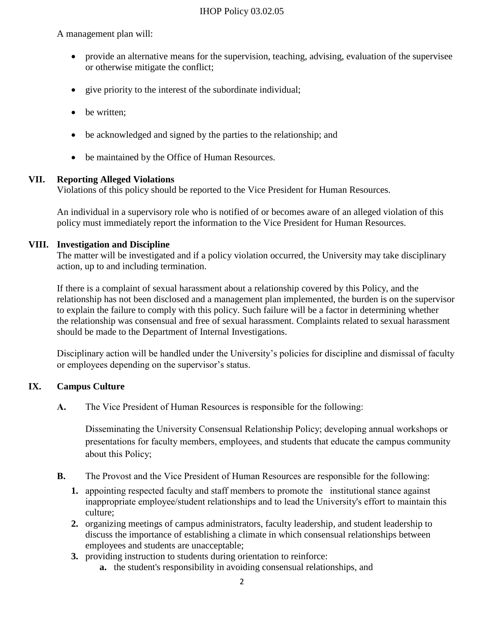## IHOP Policy 03.02.05

A management plan will:

- provide an alternative means for the supervision, teaching, advising, evaluation of the supervisee or otherwise mitigate the conflict;
- give priority to the interest of the subordinate individual;
- be written;
- be acknowledged and signed by the parties to the relationship; and
- be maintained by the Office of Human Resources.

## **VII. Reporting Alleged Violations**

Violations of this policy should be reported to the Vice President for Human Resources.

An individual in a supervisory role who is notified of or becomes aware of an alleged violation of this policy must immediately report the information to the Vice President for Human Resources.

## **VIII. Investigation and Discipline**

The matter will be investigated and if a policy violation occurred, the University may take disciplinary action, up to and including termination.

If there is a complaint of sexual harassment about a relationship covered by this Policy, and the relationship has not been disclosed and a management plan implemented, the burden is on the supervisor to explain the failure to comply with this policy. Such failure will be a factor in determining whether the relationship was consensual and free of sexual harassment. Complaints related to sexual harassment should be made to the Department of Internal Investigations.

Disciplinary action will be handled under the University's policies for discipline and dismissal of faculty or employees depending on the supervisor's status.

## **IX. Campus Culture**

**A.** The Vice President of Human Resources is responsible for the following:

Disseminating the University Consensual Relationship Policy; developing annual workshops or presentations for faculty members, employees, and students that educate the campus community about this Policy;

- **B.** The Provost and the Vice President of Human Resources are responsible for the following:
	- **1.** appointing respected faculty and staff members to promote the institutional stance against inappropriate employee/student relationships and to lead the University's effort to maintain this culture;
	- **2.** organizing meetings of campus administrators, faculty leadership, and student leadership to discuss the importance of establishing a climate in which consensual relationships between employees and students are unacceptable;
	- **3.** providing instruction to students during orientation to reinforce:
		- **a.** the student's responsibility in avoiding consensual relationships, and